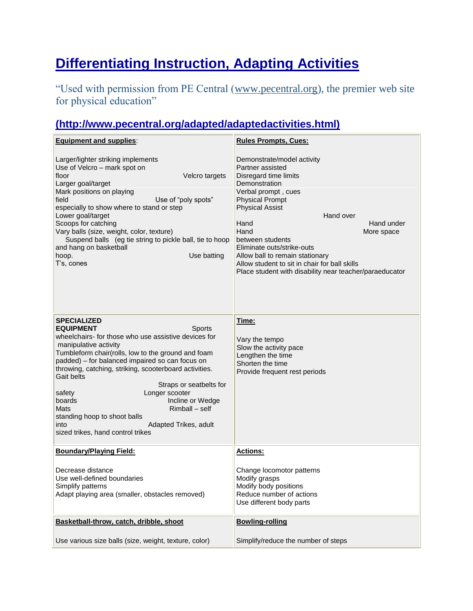## **Differentiating Instruction, Adapting Activities**

"Used with permission from PE Central [\(www.pecentral.org\)](http://www.pecentral.org/), the premier web site for physical education"

## **(http://www.pecentral.org/adapted/adaptedactivities.html)**

| <b>Equipment and supplies:</b>                                                                                                                                                                                                                                                                                                                                                                                                                                                                                                                 | <b>Rules Prompts, Cues:</b>                                                                                                                                                                                                                                                                                                                                                                                                   |
|------------------------------------------------------------------------------------------------------------------------------------------------------------------------------------------------------------------------------------------------------------------------------------------------------------------------------------------------------------------------------------------------------------------------------------------------------------------------------------------------------------------------------------------------|-------------------------------------------------------------------------------------------------------------------------------------------------------------------------------------------------------------------------------------------------------------------------------------------------------------------------------------------------------------------------------------------------------------------------------|
| Larger/lighter striking implements<br>Use of Velcro - mark spot on<br>floor<br>Velcro targets<br>Larger goal/target<br>Mark positions on playing<br>field<br>Use of "poly spots"<br>especially to show where to stand or step<br>Lower goal/target<br>Scoops for catching<br>Vary balls (size, weight, color, texture)<br>Suspend balls (eg tie string to pickle ball, tie to hoop<br>and hang on basketball<br>hoop.<br>Use batting<br>T's, cones                                                                                             | Demonstrate/model activity<br>Partner assisted<br>Disregard time limits<br>Demonstration<br>Verbal prompt, cues<br><b>Physical Prompt</b><br><b>Physical Assist</b><br>Hand over<br>Hand under<br>Hand<br>Hand<br>More space<br>between students<br>Eliminate outs/strike-outs<br>Allow ball to remain stationary<br>Allow student to sit in chair for ball skills<br>Place student with disability near teacher/paraeducator |
| <b>SPECIALIZED</b><br><b>EQUIPMENT</b><br><b>Sports</b><br>wheelchairs- for those who use assistive devices for<br>manipulative activity<br>Tumbleform chair(rolls, low to the ground and foam<br>padded) - for balanced impaired so can focus on<br>throwing, catching, striking, scooterboard activities.<br>Gait belts<br>Straps or seatbelts for<br>Longer scooter<br>safety<br>Incline or Wedge<br>boards<br>Rimball - self<br>Mats<br>standing hoop to shoot balls<br>into<br>Adapted Trikes, adult<br>sized trikes, hand control trikes | Time:<br>Vary the tempo<br>Slow the activity pace<br>Lengthen the time<br>Shorten the time<br>Provide frequent rest periods                                                                                                                                                                                                                                                                                                   |
| <b>Boundary/Playing Field:</b>                                                                                                                                                                                                                                                                                                                                                                                                                                                                                                                 | <b>Actions:</b>                                                                                                                                                                                                                                                                                                                                                                                                               |
| Decrease distance<br>Use well-defined boundaries<br>Simplify patterns<br>Adapt playing area (smaller, obstacles removed)                                                                                                                                                                                                                                                                                                                                                                                                                       | Change locomotor patterns<br>Modify grasps<br>Modify body positions<br>Reduce number of actions<br>Use different body parts                                                                                                                                                                                                                                                                                                   |
| Basketball-throw, catch, dribble, shoot                                                                                                                                                                                                                                                                                                                                                                                                                                                                                                        | <b>Bowling-rolling</b>                                                                                                                                                                                                                                                                                                                                                                                                        |
| Use various size balls (size, weight, texture, color)                                                                                                                                                                                                                                                                                                                                                                                                                                                                                          | Simplify/reduce the number of steps                                                                                                                                                                                                                                                                                                                                                                                           |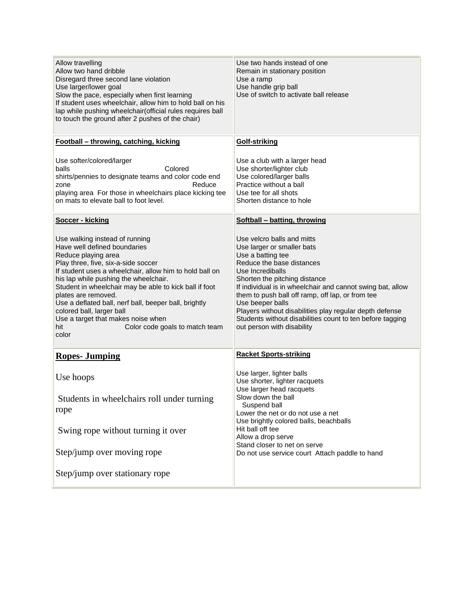| Allow travelling<br>Allow two hand dribble<br>Disregard three second lane violation<br>Use larger/lower goal<br>Slow the pace, especially when first learning<br>If student uses wheelchair, allow him to hold ball on his<br>lap while pushing wheelchair(official rules requires ball<br>to touch the ground after 2 pushes of the chair)                                                                                                                                                     | Use two hands instead of one<br>Remain in stationary position<br>Use a ramp<br>Use handle grip ball<br>Use of switch to activate ball release                                                                                                                                                                                                                                                                                                               |
|-------------------------------------------------------------------------------------------------------------------------------------------------------------------------------------------------------------------------------------------------------------------------------------------------------------------------------------------------------------------------------------------------------------------------------------------------------------------------------------------------|-------------------------------------------------------------------------------------------------------------------------------------------------------------------------------------------------------------------------------------------------------------------------------------------------------------------------------------------------------------------------------------------------------------------------------------------------------------|
| Football - throwing, catching, kicking                                                                                                                                                                                                                                                                                                                                                                                                                                                          | Golf-striking                                                                                                                                                                                                                                                                                                                                                                                                                                               |
| Use softer/colored/larger<br>Colored<br>balls<br>shirts/pennies to designate teams and color code end<br>Reduce<br>zone<br>playing area For those in wheelchairs place kicking tee<br>on mats to elevate ball to foot level.                                                                                                                                                                                                                                                                    | Use a club with a larger head<br>Use shorter/lighter club<br>Use colored/larger balls<br>Practice without a ball<br>Use tee for all shots<br>Shorten distance to hole                                                                                                                                                                                                                                                                                       |
| Soccer - kicking                                                                                                                                                                                                                                                                                                                                                                                                                                                                                | Softball – batting, throwing                                                                                                                                                                                                                                                                                                                                                                                                                                |
| Use walking instead of running<br>Have well defined boundaries<br>Reduce playing area<br>Play three, five, six-a-side soccer<br>If student uses a wheelchair, allow him to hold ball on<br>his lap while pushing the wheelchair.<br>Student in wheelchair may be able to kick ball if foot<br>plates are removed.<br>Use a deflated ball, nerf ball, beeper ball, brightly<br>colored ball, larger ball<br>Use a target that makes noise when<br>hit<br>Color code goals to match team<br>color | Use velcro balls and mitts<br>Use larger or smaller bats<br>Use a batting tee<br>Reduce the base distances<br>Use Incrediballs<br>Shorten the pitching distance<br>If individual is in wheelchair and cannot swing bat, allow<br>them to push ball off ramp, off lap, or from tee<br>Use beeper balls<br>Players without disabilities play regular depth defense<br>Students without disabilities count to ten before tagging<br>out person with disability |
| <b>Ropes-Jumping</b>                                                                                                                                                                                                                                                                                                                                                                                                                                                                            | <b>Racket Sports-striking</b>                                                                                                                                                                                                                                                                                                                                                                                                                               |
| Use hoops<br>Students in wheelchairs roll under turning<br>rope                                                                                                                                                                                                                                                                                                                                                                                                                                 | Use larger, lighter balls<br>Use shorter, lighter racquets<br>Use larger head racquets<br>Slow down the ball<br>Suspend ball<br>Lower the net or do not use a net<br>Use brightly colored balls, beachballs                                                                                                                                                                                                                                                 |
| Swing rope without turning it over                                                                                                                                                                                                                                                                                                                                                                                                                                                              | Hit ball off tee<br>Allow a drop serve                                                                                                                                                                                                                                                                                                                                                                                                                      |
| Step/jump over moving rope                                                                                                                                                                                                                                                                                                                                                                                                                                                                      | Stand closer to net on serve<br>Do not use service court Attach paddle to hand                                                                                                                                                                                                                                                                                                                                                                              |
| Step/jump over stationary rope                                                                                                                                                                                                                                                                                                                                                                                                                                                                  |                                                                                                                                                                                                                                                                                                                                                                                                                                                             |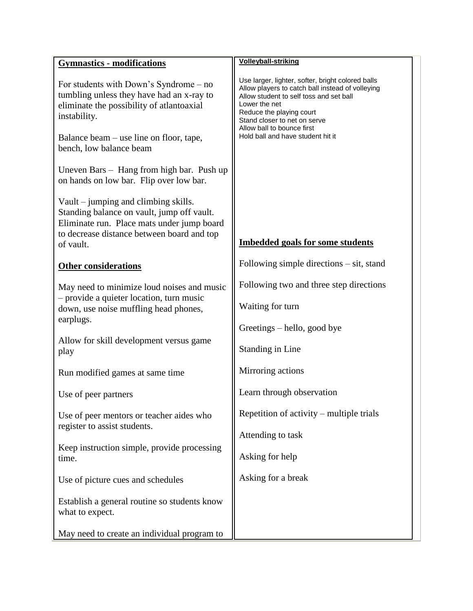| <b>Gymnastics - modifications</b>                                                                                                                                                                                        | <b>Volleyball-striking</b>                                                                                                                                                                                                                                                                       |
|--------------------------------------------------------------------------------------------------------------------------------------------------------------------------------------------------------------------------|--------------------------------------------------------------------------------------------------------------------------------------------------------------------------------------------------------------------------------------------------------------------------------------------------|
| For students with Down's Syndrome $-$ no<br>tumbling unless they have had an x-ray to<br>eliminate the possibility of atlantoaxial<br>instability.<br>Balance beam – use line on floor, tape,<br>bench, low balance beam | Use larger, lighter, softer, bright colored balls<br>Allow players to catch ball instead of volleying<br>Allow student to self toss and set ball<br>Lower the net<br>Reduce the playing court<br>Stand closer to net on serve<br>Allow ball to bounce first<br>Hold ball and have student hit it |
| Uneven Bars - Hang from high bar. Push up<br>on hands on low bar. Flip over low bar.                                                                                                                                     |                                                                                                                                                                                                                                                                                                  |
| Vault – jumping and climbing skills.<br>Standing balance on vault, jump off vault.<br>Eliminate run. Place mats under jump board<br>to decrease distance between board and top<br>of vault.                              | <b>Imbedded goals for some students</b>                                                                                                                                                                                                                                                          |
| <b>Other considerations</b>                                                                                                                                                                                              | Following simple directions $-$ sit, stand                                                                                                                                                                                                                                                       |
| May need to minimize loud noises and music<br>- provide a quieter location, turn music<br>down, use noise muffling head phones,<br>earplugs.                                                                             | Following two and three step directions<br>Waiting for turn                                                                                                                                                                                                                                      |
| Allow for skill development versus game<br>play                                                                                                                                                                          | Greetings – hello, good bye<br><b>Standing in Line</b>                                                                                                                                                                                                                                           |
| Run modified games at same time                                                                                                                                                                                          | Mirroring actions                                                                                                                                                                                                                                                                                |
| Use of peer partners                                                                                                                                                                                                     | Learn through observation                                                                                                                                                                                                                                                                        |
| Use of peer mentors or teacher aides who<br>register to assist students.                                                                                                                                                 | Repetition of activity – multiple trials<br>Attending to task                                                                                                                                                                                                                                    |
| Keep instruction simple, provide processing<br>time.                                                                                                                                                                     | Asking for help                                                                                                                                                                                                                                                                                  |
| Use of picture cues and schedules                                                                                                                                                                                        | Asking for a break                                                                                                                                                                                                                                                                               |
| Establish a general routine so students know<br>what to expect.                                                                                                                                                          |                                                                                                                                                                                                                                                                                                  |
| May need to create an individual program to                                                                                                                                                                              |                                                                                                                                                                                                                                                                                                  |